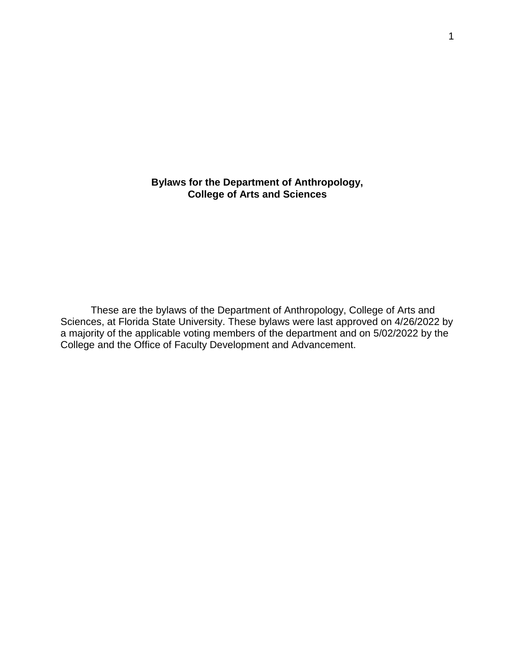**Bylaws for the Department of Anthropology, College of Arts and Sciences**

These are the bylaws of the Department of Anthropology, College of Arts and Sciences, at Florida State University. These bylaws were last approved on 4/26/2022 by a majority of the applicable voting members of the department and on 5/02/2022 by the College and the Office of Faculty Development and Advancement.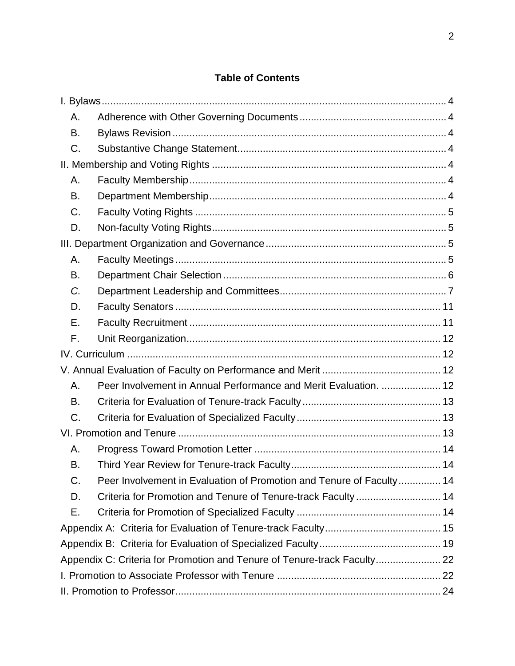# **Table of Contents**

| Α.                                                                       |                                                                      |  |
|--------------------------------------------------------------------------|----------------------------------------------------------------------|--|
| В.                                                                       |                                                                      |  |
| C.                                                                       |                                                                      |  |
|                                                                          |                                                                      |  |
| Α.                                                                       |                                                                      |  |
| В.                                                                       |                                                                      |  |
| C.                                                                       |                                                                      |  |
| D.                                                                       |                                                                      |  |
|                                                                          |                                                                      |  |
| А.                                                                       |                                                                      |  |
| В.                                                                       |                                                                      |  |
| C.                                                                       |                                                                      |  |
| D.                                                                       |                                                                      |  |
| Е.                                                                       |                                                                      |  |
| F.                                                                       |                                                                      |  |
|                                                                          |                                                                      |  |
|                                                                          |                                                                      |  |
| Α.                                                                       | Peer Involvement in Annual Performance and Merit Evaluation.  12     |  |
| В.                                                                       |                                                                      |  |
| C.                                                                       |                                                                      |  |
|                                                                          |                                                                      |  |
| Α.                                                                       |                                                                      |  |
| В.                                                                       |                                                                      |  |
| C.                                                                       | Peer Involvement in Evaluation of Promotion and Tenure of Faculty 14 |  |
| D.                                                                       | Criteria for Promotion and Tenure of Tenure-track Faculty  14        |  |
| Е.                                                                       |                                                                      |  |
|                                                                          |                                                                      |  |
|                                                                          |                                                                      |  |
| Appendix C: Criteria for Promotion and Tenure of Tenure-track Faculty 22 |                                                                      |  |
|                                                                          |                                                                      |  |
|                                                                          |                                                                      |  |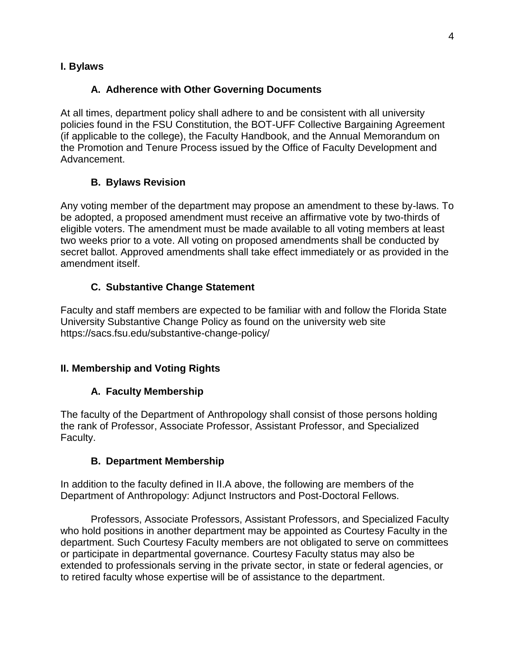### <span id="page-3-1"></span><span id="page-3-0"></span>**I. Bylaws**

### **A. Adherence with Other Governing Documents**

At all times, department policy shall adhere to and be consistent with all university policies found in the FSU Constitution, the BOT-UFF Collective Bargaining Agreement (if applicable to the college), the Faculty Handbook, and the Annual Memorandum on the Promotion and Tenure Process issued by the Office of Faculty Development and Advancement.

### **B. Bylaws Revision**

<span id="page-3-2"></span>Any voting member of the department may propose an amendment to these by-laws. To be adopted, a proposed amendment must receive an affirmative vote by two-thirds of eligible voters. The amendment must be made available to all voting members at least two weeks prior to a vote. All voting on proposed amendments shall be conducted by secret ballot. Approved amendments shall take effect immediately or as provided in the amendment itself.

### **C. Substantive Change Statement**

<span id="page-3-3"></span>Faculty and staff members are expected to be familiar with and follow the Florida State University Substantive Change Policy as found on the university web site https://sacs.fsu.edu/substantive-change-policy/

### <span id="page-3-5"></span><span id="page-3-4"></span>**II. Membership and Voting Rights**

### **A. Faculty Membership**

The faculty of the Department of Anthropology shall consist of those persons holding the rank of Professor, Associate Professor, Assistant Professor, and Specialized Faculty.

### **B. Department Membership**

<span id="page-3-6"></span>In addition to the faculty defined in II.A above, the following are members of the Department of Anthropology: Adjunct Instructors and Post-Doctoral Fellows.

Professors, Associate Professors, Assistant Professors, and Specialized Faculty who hold positions in another department may be appointed as Courtesy Faculty in the department. Such Courtesy Faculty members are not obligated to serve on committees or participate in departmental governance. Courtesy Faculty status may also be extended to professionals serving in the private sector, in state or federal agencies, or to retired faculty whose expertise will be of assistance to the department.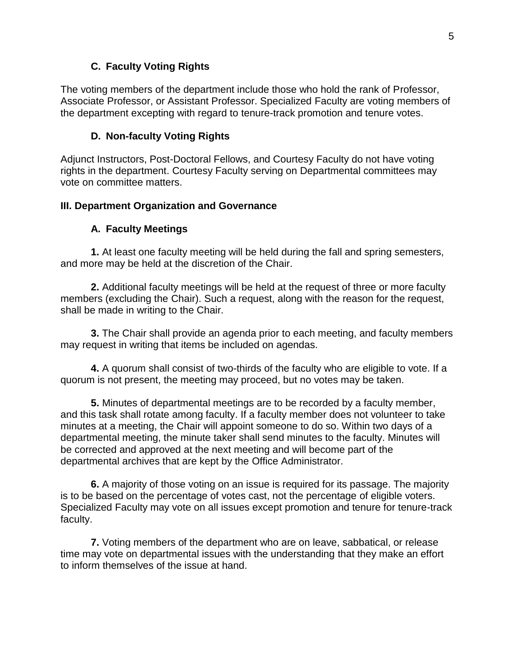### **C. Faculty Voting Rights**

<span id="page-4-0"></span>The voting members of the department include those who hold the rank of Professor, Associate Professor, or Assistant Professor. Specialized Faculty are voting members of the department excepting with regard to tenure-track promotion and tenure votes.

### **D. Non-faculty Voting Rights**

<span id="page-4-1"></span>Adjunct Instructors, Post-Doctoral Fellows, and Courtesy Faculty do not have voting rights in the department. Courtesy Faculty serving on Departmental committees may vote on committee matters.

### <span id="page-4-2"></span>**III. Department Organization and Governance**

### **A. Faculty Meetings**

<span id="page-4-3"></span>**1.** At least one faculty meeting will be held during the fall and spring semesters, and more may be held at the discretion of the Chair.

**2.** Additional faculty meetings will be held at the request of three or more faculty members (excluding the Chair). Such a request, along with the reason for the request, shall be made in writing to the Chair.

**3.** The Chair shall provide an agenda prior to each meeting, and faculty members may request in writing that items be included on agendas.

**4.** A quorum shall consist of two-thirds of the faculty who are eligible to vote. If a quorum is not present, the meeting may proceed, but no votes may be taken.

**5.** Minutes of departmental meetings are to be recorded by a faculty member, and this task shall rotate among faculty. If a faculty member does not volunteer to take minutes at a meeting, the Chair will appoint someone to do so. Within two days of a departmental meeting, the minute taker shall send minutes to the faculty. Minutes will be corrected and approved at the next meeting and will become part of the departmental archives that are kept by the Office Administrator.

**6.** A majority of those voting on an issue is required for its passage. The majority is to be based on the percentage of votes cast, not the percentage of eligible voters. Specialized Faculty may vote on all issues except promotion and tenure for tenure-track faculty.

**7.** Voting members of the department who are on leave, sabbatical, or release time may vote on departmental issues with the understanding that they make an effort to inform themselves of the issue at hand.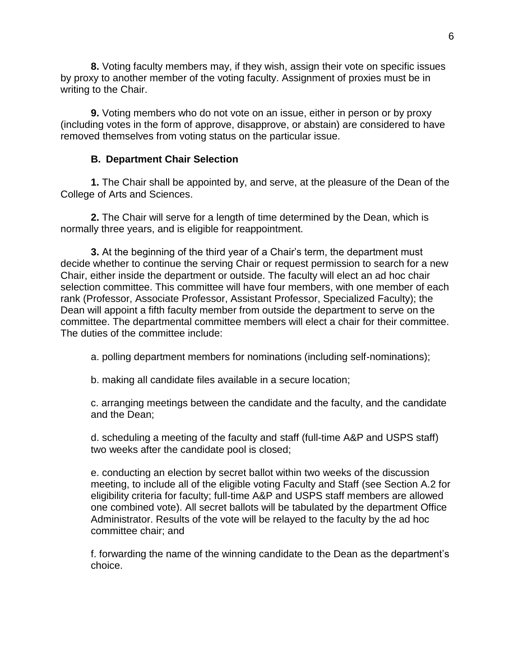**8.** Voting faculty members may, if they wish, assign their vote on specific issues by proxy to another member of the voting faculty. Assignment of proxies must be in writing to the Chair.

**9.** Voting members who do not vote on an issue, either in person or by proxy (including votes in the form of approve, disapprove, or abstain) are considered to have removed themselves from voting status on the particular issue.

### **B. Department Chair Selection**

<span id="page-5-0"></span>**1.** The Chair shall be appointed by, and serve, at the pleasure of the Dean of the College of Arts and Sciences.

**2.** The Chair will serve for a length of time determined by the Dean, which is normally three years, and is eligible for reappointment.

**3.** At the beginning of the third year of a Chair's term, the department must decide whether to continue the serving Chair or request permission to search for a new Chair, either inside the department or outside. The faculty will elect an ad hoc chair selection committee. This committee will have four members, with one member of each rank (Professor, Associate Professor, Assistant Professor, Specialized Faculty); the Dean will appoint a fifth faculty member from outside the department to serve on the committee. The departmental committee members will elect a chair for their committee. The duties of the committee include:

a. polling department members for nominations (including self-nominations);

b. making all candidate files available in a secure location;

c. arranging meetings between the candidate and the faculty, and the candidate and the Dean;

d. scheduling a meeting of the faculty and staff (full-time A&P and USPS staff) two weeks after the candidate pool is closed;

e. conducting an election by secret ballot within two weeks of the discussion meeting, to include all of the eligible voting Faculty and Staff (see Section A.2 for eligibility criteria for faculty; full-time A&P and USPS staff members are allowed one combined vote). All secret ballots will be tabulated by the department Office Administrator. Results of the vote will be relayed to the faculty by the ad hoc committee chair; and

f. forwarding the name of the winning candidate to the Dean as the department's choice.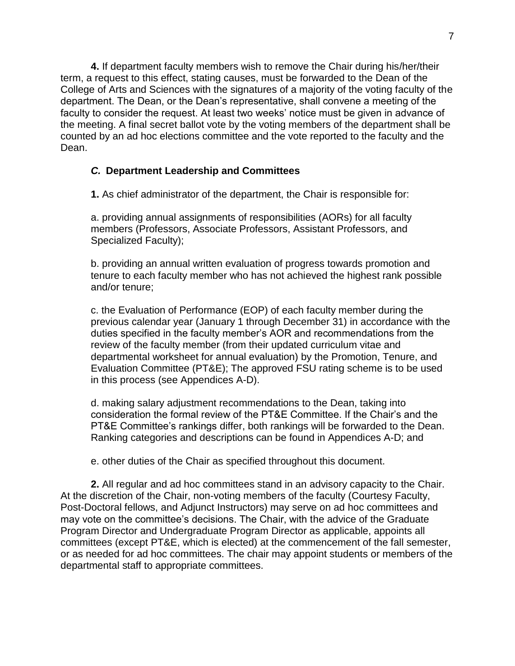**4.** If department faculty members wish to remove the Chair during his/her/their term, a request to this effect, stating causes, must be forwarded to the Dean of the College of Arts and Sciences with the signatures of a majority of the voting faculty of the department. The Dean, or the Dean's representative, shall convene a meeting of the faculty to consider the request. At least two weeks' notice must be given in advance of the meeting. A final secret ballot vote by the voting members of the department shall be counted by an ad hoc elections committee and the vote reported to the faculty and the Dean.

### <span id="page-6-0"></span>*C.* **Department Leadership and Committees**

**1.** As chief administrator of the department, the Chair is responsible for:

a. providing annual assignments of responsibilities (AORs) for all faculty members (Professors, Associate Professors, Assistant Professors, and Specialized Faculty);

b. providing an annual written evaluation of progress towards promotion and tenure to each faculty member who has not achieved the highest rank possible and/or tenure;

c. the Evaluation of Performance (EOP) of each faculty member during the previous calendar year (January 1 through December 31) in accordance with the duties specified in the faculty member's AOR and recommendations from the review of the faculty member (from their updated curriculum vitae and departmental worksheet for annual evaluation) by the Promotion, Tenure, and Evaluation Committee (PT&E); The approved FSU rating scheme is to be used in this process (see Appendices A-D).

d. making salary adjustment recommendations to the Dean, taking into consideration the formal review of the PT&E Committee. If the Chair's and the PT&E Committee's rankings differ, both rankings will be forwarded to the Dean. Ranking categories and descriptions can be found in Appendices A-D; and

e. other duties of the Chair as specified throughout this document.

**2.** All regular and ad hoc committees stand in an advisory capacity to the Chair. At the discretion of the Chair, non-voting members of the faculty (Courtesy Faculty, Post-Doctoral fellows, and Adjunct Instructors) may serve on ad hoc committees and may vote on the committee's decisions. The Chair, with the advice of the Graduate Program Director and Undergraduate Program Director as applicable, appoints all committees (except PT&E, which is elected) at the commencement of the fall semester, or as needed for ad hoc committees. The chair may appoint students or members of the departmental staff to appropriate committees.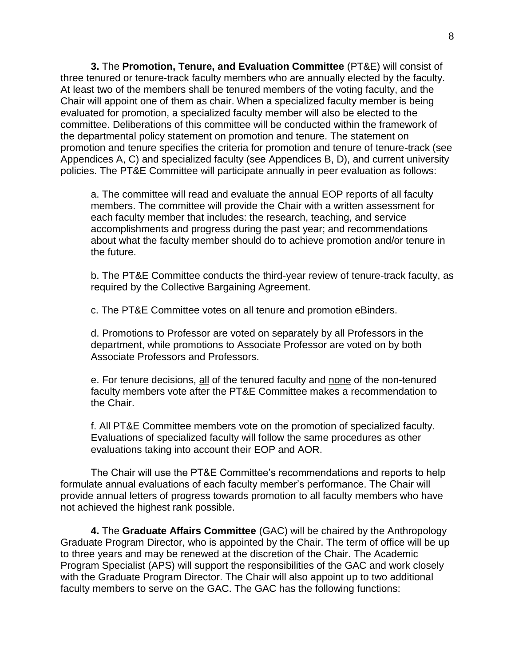**3.** The **Promotion, Tenure, and Evaluation Committee** (PT&E) will consist of three tenured or tenure-track faculty members who are annually elected by the faculty. At least two of the members shall be tenured members of the voting faculty, and the Chair will appoint one of them as chair. When a specialized faculty member is being evaluated for promotion, a specialized faculty member will also be elected to the committee. Deliberations of this committee will be conducted within the framework of the departmental policy statement on promotion and tenure. The statement on promotion and tenure specifies the criteria for promotion and tenure of tenure-track (see Appendices A, C) and specialized faculty (see Appendices B, D), and current university policies. The PT&E Committee will participate annually in peer evaluation as follows:

a. The committee will read and evaluate the annual EOP reports of all faculty members. The committee will provide the Chair with a written assessment for each faculty member that includes: the research, teaching, and service accomplishments and progress during the past year; and recommendations about what the faculty member should do to achieve promotion and/or tenure in the future.

b. The PT&E Committee conducts the third-year review of tenure-track faculty, as required by the Collective Bargaining Agreement.

c. The PT&E Committee votes on all tenure and promotion eBinders.

d. Promotions to Professor are voted on separately by all Professors in the department, while promotions to Associate Professor are voted on by both Associate Professors and Professors.

e. For tenure decisions, all of the tenured faculty and none of the non-tenured faculty members vote after the PT&E Committee makes a recommendation to the Chair.

f. All PT&E Committee members vote on the promotion of specialized faculty. Evaluations of specialized faculty will follow the same procedures as other evaluations taking into account their EOP and AOR.

The Chair will use the PT&E Committee's recommendations and reports to help formulate annual evaluations of each faculty member's performance. The Chair will provide annual letters of progress towards promotion to all faculty members who have not achieved the highest rank possible.

**4.** The **Graduate Affairs Committee** (GAC) will be chaired by the Anthropology Graduate Program Director, who is appointed by the Chair. The term of office will be up to three years and may be renewed at the discretion of the Chair. The Academic Program Specialist (APS) will support the responsibilities of the GAC and work closely with the Graduate Program Director. The Chair will also appoint up to two additional faculty members to serve on the GAC. The GAC has the following functions: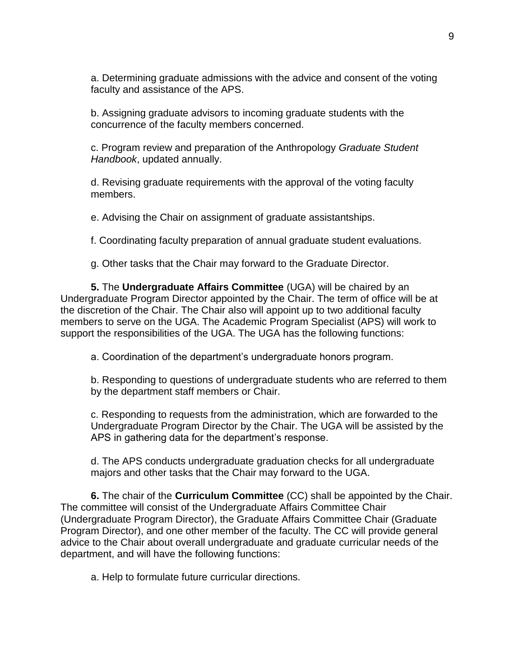a. Determining graduate admissions with the advice and consent of the voting faculty and assistance of the APS.

b. Assigning graduate advisors to incoming graduate students with the concurrence of the faculty members concerned.

c. Program review and preparation of the Anthropology *Graduate Student Handbook*, updated annually.

d. Revising graduate requirements with the approval of the voting faculty members.

e. Advising the Chair on assignment of graduate assistantships.

f. Coordinating faculty preparation of annual graduate student evaluations.

g. Other tasks that the Chair may forward to the Graduate Director.

**5.** The **Undergraduate Affairs Committee** (UGA) will be chaired by an Undergraduate Program Director appointed by the Chair. The term of office will be at the discretion of the Chair. The Chair also will appoint up to two additional faculty members to serve on the UGA. The Academic Program Specialist (APS) will work to support the responsibilities of the UGA. The UGA has the following functions:

a. Coordination of the department's undergraduate honors program.

b. Responding to questions of undergraduate students who are referred to them by the department staff members or Chair.

c. Responding to requests from the administration, which are forwarded to the Undergraduate Program Director by the Chair. The UGA will be assisted by the APS in gathering data for the department's response.

d. The APS conducts undergraduate graduation checks for all undergraduate majors and other tasks that the Chair may forward to the UGA.

**6.** The chair of the **Curriculum Committee** (CC) shall be appointed by the Chair. The committee will consist of the Undergraduate Affairs Committee Chair (Undergraduate Program Director), the Graduate Affairs Committee Chair (Graduate Program Director), and one other member of the faculty. The CC will provide general advice to the Chair about overall undergraduate and graduate curricular needs of the department, and will have the following functions:

a. Help to formulate future curricular directions.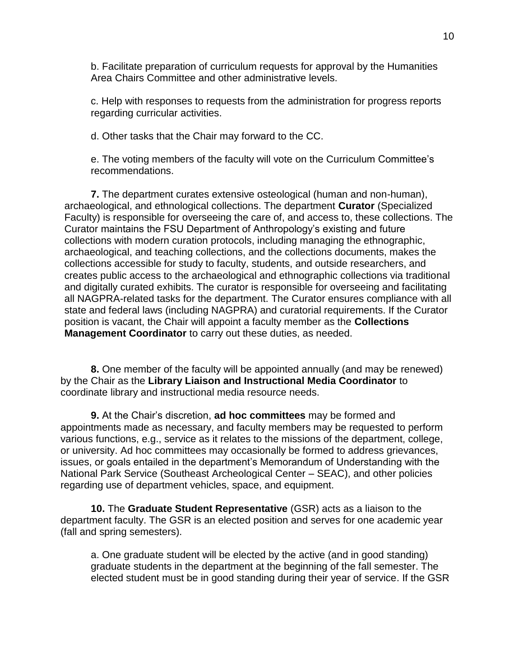b. Facilitate preparation of curriculum requests for approval by the Humanities Area Chairs Committee and other administrative levels.

c. Help with responses to requests from the administration for progress reports regarding curricular activities.

d. Other tasks that the Chair may forward to the CC.

e. The voting members of the faculty will vote on the Curriculum Committee's recommendations.

**7.** The department curates extensive osteological (human and non-human), archaeological, and ethnological collections. The department **Curator** (Specialized Faculty) is responsible for overseeing the care of, and access to, these collections. The Curator maintains the FSU Department of Anthropology's existing and future collections with modern curation protocols, including managing the ethnographic, archaeological, and teaching collections, and the collections documents, makes the collections accessible for study to faculty, students, and outside researchers, and creates public access to the archaeological and ethnographic collections via traditional and digitally curated exhibits. The curator is responsible for overseeing and facilitating all NAGPRA-related tasks for the department. The Curator ensures compliance with all state and federal laws (including NAGPRA) and curatorial requirements. If the Curator position is vacant, the Chair will appoint a faculty member as the **Collections Management Coordinator** to carry out these duties, as needed.

**8.** One member of the faculty will be appointed annually (and may be renewed) by the Chair as the **Library Liaison and Instructional Media Coordinator** to coordinate library and instructional media resource needs.

**9.** At the Chair's discretion, **ad hoc committees** may be formed and appointments made as necessary, and faculty members may be requested to perform various functions, e.g., service as it relates to the missions of the department, college, or university. Ad hoc committees may occasionally be formed to address grievances, issues, or goals entailed in the department's Memorandum of Understanding with the National Park Service (Southeast Archeological Center – SEAC), and other policies regarding use of department vehicles, space, and equipment.

**10.** The **Graduate Student Representative** (GSR) acts as a liaison to the department faculty. The GSR is an elected position and serves for one academic year (fall and spring semesters).

a. One graduate student will be elected by the active (and in good standing) graduate students in the department at the beginning of the fall semester. The elected student must be in good standing during their year of service. If the GSR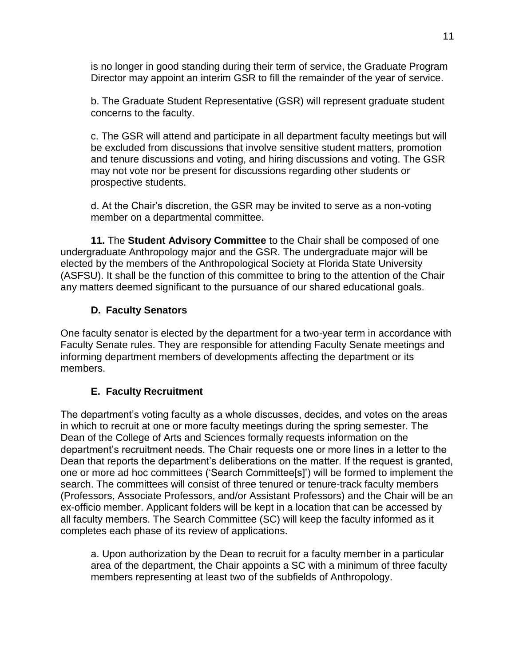is no longer in good standing during their term of service, the Graduate Program Director may appoint an interim GSR to fill the remainder of the year of service.

b. The Graduate Student Representative (GSR) will represent graduate student concerns to the faculty.

c. The GSR will attend and participate in all department faculty meetings but will be excluded from discussions that involve sensitive student matters, promotion and tenure discussions and voting, and hiring discussions and voting. The GSR may not vote nor be present for discussions regarding other students or prospective students.

d. At the Chair's discretion, the GSR may be invited to serve as a non-voting member on a departmental committee.

**11.** The **Student Advisory Committee** to the Chair shall be composed of one undergraduate Anthropology major and the GSR. The undergraduate major will be elected by the members of the Anthropological Society at Florida State University (ASFSU). It shall be the function of this committee to bring to the attention of the Chair any matters deemed significant to the pursuance of our shared educational goals.

### **D. Faculty Senators**

<span id="page-10-0"></span>One faculty senator is elected by the department for a two-year term in accordance with Faculty Senate rules. They are responsible for attending Faculty Senate meetings and informing department members of developments affecting the department or its members.

### **E. Faculty Recruitment**

<span id="page-10-1"></span>The department's voting faculty as a whole discusses, decides, and votes on the areas in which to recruit at one or more faculty meetings during the spring semester. The Dean of the College of Arts and Sciences formally requests information on the department's recruitment needs. The Chair requests one or more lines in a letter to the Dean that reports the department's deliberations on the matter. If the request is granted, one or more ad hoc committees ('Search Committee[s]') will be formed to implement the search. The committees will consist of three tenured or tenure-track faculty members (Professors, Associate Professors, and/or Assistant Professors) and the Chair will be an ex-officio member. Applicant folders will be kept in a location that can be accessed by all faculty members. The Search Committee (SC) will keep the faculty informed as it completes each phase of its review of applications.

a. Upon authorization by the Dean to recruit for a faculty member in a particular area of the department, the Chair appoints a SC with a minimum of three faculty members representing at least two of the subfields of Anthropology.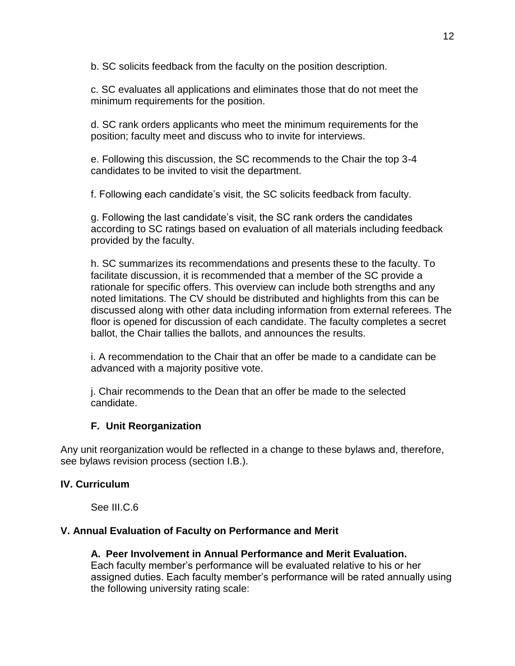b. SC solicits feedback from the faculty on the position description.

c. SC evaluates all applications and eliminates those that do not meet the minimum requirements for the position.

d. SC rank orders applicants who meet the minimum requirements for the position; faculty meet and discuss who to invite for interviews.

e. Following this discussion, the SC recommends to the Chair the top 3-4 candidates to be invited to visit the department.

f. Following each candidate's visit, the SC solicits feedback from faculty.

g. Following the last candidate's visit, the SC rank orders the candidates according to SC ratings based on evaluation of all materials including feedback provided by the faculty.

h. SC summarizes its recommendations and presents these to the faculty. To facilitate discussion, it is recommended that a member of the SC provide a rationale for specific offers. This overview can include both strengths and any noted limitations. The CV should be distributed and highlights from this can be discussed along with other data including information from external referees. The floor is opened for discussion of each candidate. The faculty completes a secret ballot, the Chair tallies the ballots, and announces the results.

i. A recommendation to the Chair that an offer be made to a candidate can be advanced with a majority positive vote.

j. Chair recommends to the Dean that an offer be made to the selected candidate.

# **F. Unit Reorganization**

<span id="page-11-0"></span>Any unit reorganization would be reflected in a change to these bylaws and, therefore, see bylaws revision process (section I.B.).

# <span id="page-11-1"></span>**IV. Curriculum**

See III.C.6

# <span id="page-11-3"></span><span id="page-11-2"></span>**V. Annual Evaluation of Faculty on Performance and Merit**

# **A. Peer Involvement in Annual Performance and Merit Evaluation.**

Each faculty member's performance will be evaluated relative to his or her assigned duties. Each faculty member's performance will be rated annually using the following university rating scale: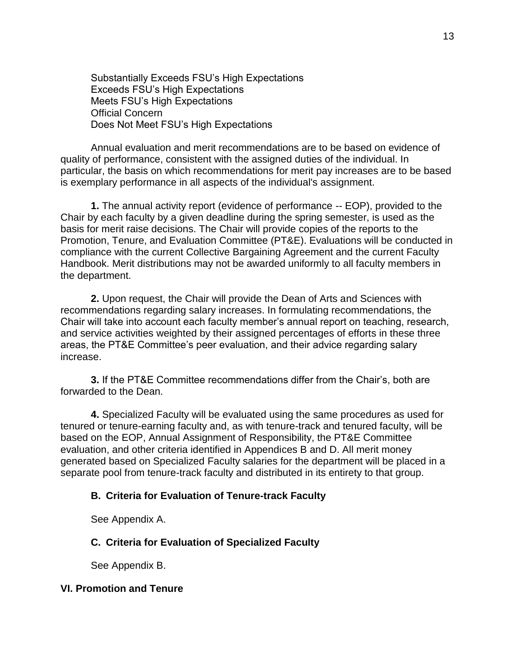Substantially Exceeds FSU's High Expectations Exceeds FSU's High Expectations Meets FSU's High Expectations Official Concern Does Not Meet FSU's High Expectations

Annual evaluation and merit recommendations are to be based on evidence of quality of performance, consistent with the assigned duties of the individual. In particular, the basis on which recommendations for merit pay increases are to be based is exemplary performance in all aspects of the individual's assignment.

**1.** The annual activity report (evidence of performance -- EOP), provided to the Chair by each faculty by a given deadline during the spring semester, is used as the basis for merit raise decisions. The Chair will provide copies of the reports to the Promotion, Tenure, and Evaluation Committee (PT&E). Evaluations will be conducted in compliance with the current Collective Bargaining Agreement and the current Faculty Handbook. Merit distributions may not be awarded uniformly to all faculty members in the department.

**2.** Upon request, the Chair will provide the Dean of Arts and Sciences with recommendations regarding salary increases. In formulating recommendations, the Chair will take into account each faculty member's annual report on teaching, research, and service activities weighted by their assigned percentages of efforts in these three areas, the PT&E Committee's peer evaluation, and their advice regarding salary increase.

**3.** If the PT&E Committee recommendations differ from the Chair's, both are forwarded to the Dean.

**4.** Specialized Faculty will be evaluated using the same procedures as used for tenured or tenure-earning faculty and, as with tenure-track and tenured faculty, will be based on the EOP, Annual Assignment of Responsibility, the PT&E Committee evaluation, and other criteria identified in Appendices B and D. All merit money generated based on Specialized Faculty salaries for the department will be placed in a separate pool from tenure-track faculty and distributed in its entirety to that group.

#### <span id="page-12-0"></span>**B. Criteria for Evaluation of Tenure-track Faculty**

See Appendix A.

### <span id="page-12-1"></span>**C. Criteria for Evaluation of Specialized Faculty**

See Appendix B.

### <span id="page-12-2"></span>**VI. Promotion and Tenure**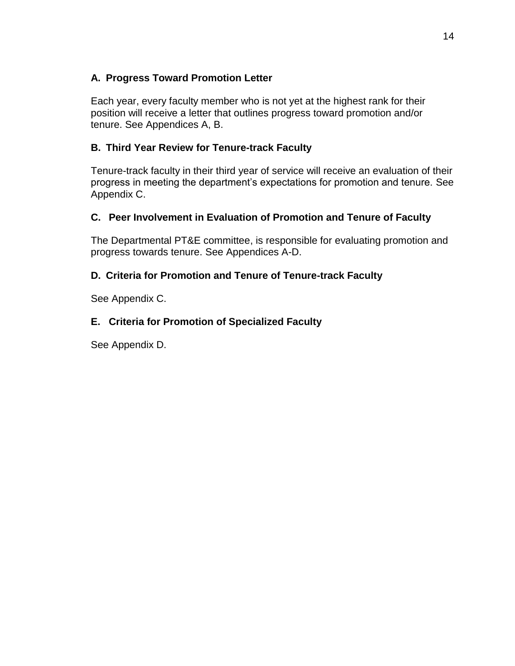### <span id="page-13-0"></span>**A. Progress Toward Promotion Letter**

Each year, every faculty member who is not yet at the highest rank for their position will receive a letter that outlines progress toward promotion and/or tenure. See Appendices A, B.

## <span id="page-13-1"></span>**B. Third Year Review for Tenure-track Faculty**

Tenure-track faculty in their third year of service will receive an evaluation of their progress in meeting the department's expectations for promotion and tenure. See Appendix C.

# <span id="page-13-2"></span>**C. Peer Involvement in Evaluation of Promotion and Tenure of Faculty**

The Departmental PT&E committee, is responsible for evaluating promotion and progress towards tenure. See Appendices A-D.

# <span id="page-13-3"></span>**D. Criteria for Promotion and Tenure of Tenure-track Faculty**

See Appendix C.

# <span id="page-13-4"></span>**E. Criteria for Promotion of Specialized Faculty**

See Appendix D.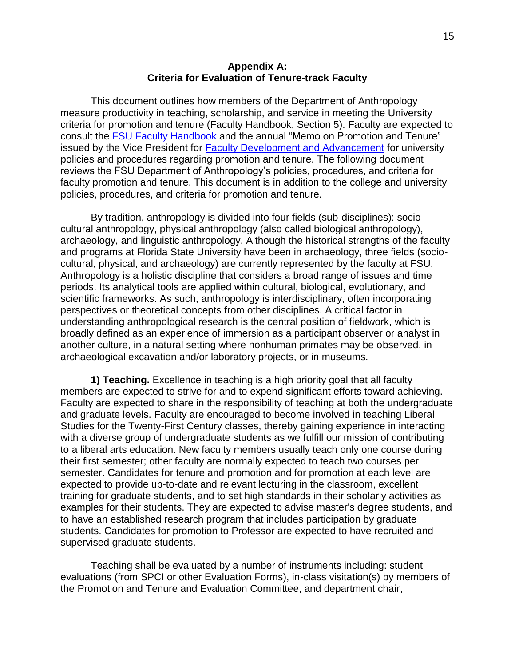#### **Appendix A: Criteria for Evaluation of Tenure-track Faculty**

<span id="page-14-0"></span>This document outlines how members of the Department of Anthropology measure productivity in teaching, scholarship, and service in meeting the University criteria for promotion and tenure (Faculty Handbook, Section 5). Faculty are expected to consult the [FSU Faculty Handbook](about:blank) and the annual "Memo on Promotion and Tenure" issued by the Vice President for [Faculty Development and Advancement](about:blank) for university policies and procedures regarding promotion and tenure. The following document reviews the FSU Department of Anthropology's policies, procedures, and criteria for faculty promotion and tenure. This document is in addition to the college and university policies, procedures, and criteria for promotion and tenure.

By tradition, anthropology is divided into four fields (sub-disciplines): sociocultural anthropology, physical anthropology (also called biological anthropology), archaeology, and linguistic anthropology. Although the historical strengths of the faculty and programs at Florida State University have been in archaeology, three fields (sociocultural, physical, and archaeology) are currently represented by the faculty at FSU. Anthropology is a holistic discipline that considers a broad range of issues and time periods. Its analytical tools are applied within cultural, biological, evolutionary, and scientific frameworks. As such, anthropology is interdisciplinary, often incorporating perspectives or theoretical concepts from other disciplines. A critical factor in understanding anthropological research is the central position of fieldwork, which is broadly defined as an experience of immersion as a participant observer or analyst in another culture, in a natural setting where nonhuman primates may be observed, in archaeological excavation and/or laboratory projects, or in museums.

**1) Teaching.** Excellence in teaching is a high priority goal that all faculty members are expected to strive for and to expend significant efforts toward achieving. Faculty are expected to share in the responsibility of teaching at both the undergraduate and graduate levels. Faculty are encouraged to become involved in teaching Liberal Studies for the Twenty-First Century classes, thereby gaining experience in interacting with a diverse group of undergraduate students as we fulfill our mission of contributing to a liberal arts education. New faculty members usually teach only one course during their first semester; other faculty are normally expected to teach two courses per semester. Candidates for tenure and promotion and for promotion at each level are expected to provide up-to-date and relevant lecturing in the classroom, excellent training for graduate students, and to set high standards in their scholarly activities as examples for their students. They are expected to advise master's degree students, and to have an established research program that includes participation by graduate students. Candidates for promotion to Professor are expected to have recruited and supervised graduate students.

Teaching shall be evaluated by a number of instruments including: student evaluations (from SPCI or other Evaluation Forms), in-class visitation(s) by members of the Promotion and Tenure and Evaluation Committee, and department chair,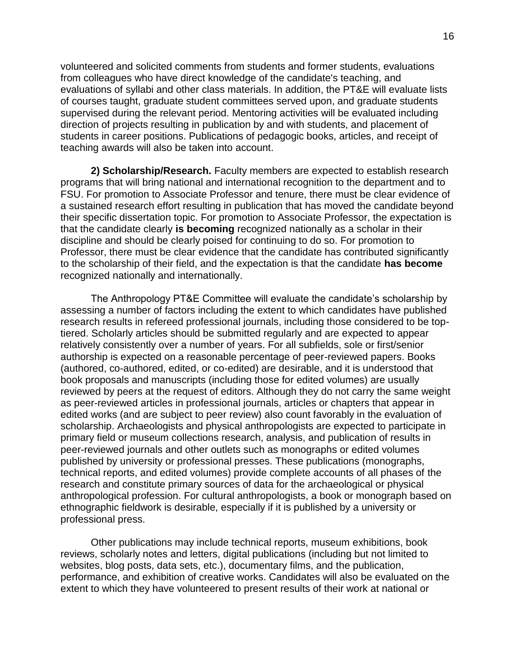volunteered and solicited comments from students and former students, evaluations from colleagues who have direct knowledge of the candidate's teaching, and evaluations of syllabi and other class materials. In addition, the PT&E will evaluate lists of courses taught, graduate student committees served upon, and graduate students supervised during the relevant period. Mentoring activities will be evaluated including direction of projects resulting in publication by and with students, and placement of students in career positions. Publications of pedagogic books, articles, and receipt of teaching awards will also be taken into account.

**2) Scholarship/Research.** Faculty members are expected to establish research programs that will bring national and international recognition to the department and to FSU. For promotion to Associate Professor and tenure, there must be clear evidence of a sustained research effort resulting in publication that has moved the candidate beyond their specific dissertation topic. For promotion to Associate Professor, the expectation is that the candidate clearly **is becoming** recognized nationally as a scholar in their discipline and should be clearly poised for continuing to do so. For promotion to Professor, there must be clear evidence that the candidate has contributed significantly to the scholarship of their field, and the expectation is that the candidate **has become** recognized nationally and internationally.

The Anthropology PT&E Committee will evaluate the candidate's scholarship by assessing a number of factors including the extent to which candidates have published research results in refereed professional journals, including those considered to be toptiered. Scholarly articles should be submitted regularly and are expected to appear relatively consistently over a number of years. For all subfields, sole or first/senior authorship is expected on a reasonable percentage of peer-reviewed papers. Books (authored, co-authored, edited, or co-edited) are desirable, and it is understood that book proposals and manuscripts (including those for edited volumes) are usually reviewed by peers at the request of editors. Although they do not carry the same weight as peer-reviewed articles in professional journals, articles or chapters that appear in edited works (and are subject to peer review) also count favorably in the evaluation of scholarship. Archaeologists and physical anthropologists are expected to participate in primary field or museum collections research, analysis, and publication of results in peer-reviewed journals and other outlets such as monographs or edited volumes published by university or professional presses. These publications (monographs, technical reports, and edited volumes) provide complete accounts of all phases of the research and constitute primary sources of data for the archaeological or physical anthropological profession. For cultural anthropologists, a book or monograph based on ethnographic fieldwork is desirable, especially if it is published by a university or professional press.

Other publications may include technical reports, museum exhibitions, book reviews, scholarly notes and letters, digital publications (including but not limited to websites, blog posts, data sets, etc.), documentary films, and the publication, performance, and exhibition of creative works. Candidates will also be evaluated on the extent to which they have volunteered to present results of their work at national or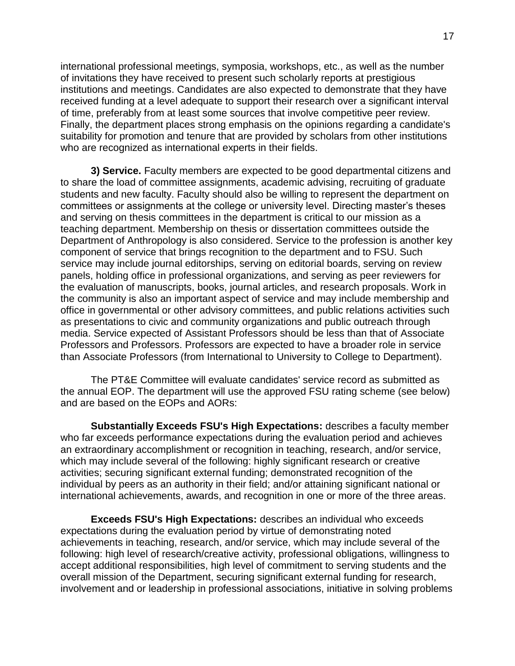international professional meetings, symposia, workshops, etc., as well as the number of invitations they have received to present such scholarly reports at prestigious institutions and meetings. Candidates are also expected to demonstrate that they have received funding at a level adequate to support their research over a significant interval of time, preferably from at least some sources that involve competitive peer review. Finally, the department places strong emphasis on the opinions regarding a candidate's suitability for promotion and tenure that are provided by scholars from other institutions who are recognized as international experts in their fields.

**3) Service.** Faculty members are expected to be good departmental citizens and to share the load of committee assignments, academic advising, recruiting of graduate students and new faculty. Faculty should also be willing to represent the department on committees or assignments at the college or university level. Directing master's theses and serving on thesis committees in the department is critical to our mission as a teaching department. Membership on thesis or dissertation committees outside the Department of Anthropology is also considered. Service to the profession is another key component of service that brings recognition to the department and to FSU. Such service may include journal editorships, serving on editorial boards, serving on review panels, holding office in professional organizations, and serving as peer reviewers for the evaluation of manuscripts, books, journal articles, and research proposals. Work in the community is also an important aspect of service and may include membership and office in governmental or other advisory committees, and public relations activities such as presentations to civic and community organizations and public outreach through media. Service expected of Assistant Professors should be less than that of Associate Professors and Professors. Professors are expected to have a broader role in service than Associate Professors (from International to University to College to Department).

The PT&E Committee will evaluate candidates' service record as submitted as the annual EOP. The department will use the approved FSU rating scheme (see below) and are based on the EOPs and AORs:

**Substantially Exceeds FSU's High Expectations:** describes a faculty member who far exceeds performance expectations during the evaluation period and achieves an extraordinary accomplishment or recognition in teaching, research, and/or service, which may include several of the following: highly significant research or creative activities; securing significant external funding; demonstrated recognition of the individual by peers as an authority in their field; and/or attaining significant national or international achievements, awards, and recognition in one or more of the three areas.

**Exceeds FSU's High Expectations:** describes an individual who exceeds expectations during the evaluation period by virtue of demonstrating noted achievements in teaching, research, and/or service, which may include several of the following: high level of research/creative activity, professional obligations, willingness to accept additional responsibilities, high level of commitment to serving students and the overall mission of the Department, securing significant external funding for research, involvement and or leadership in professional associations, initiative in solving problems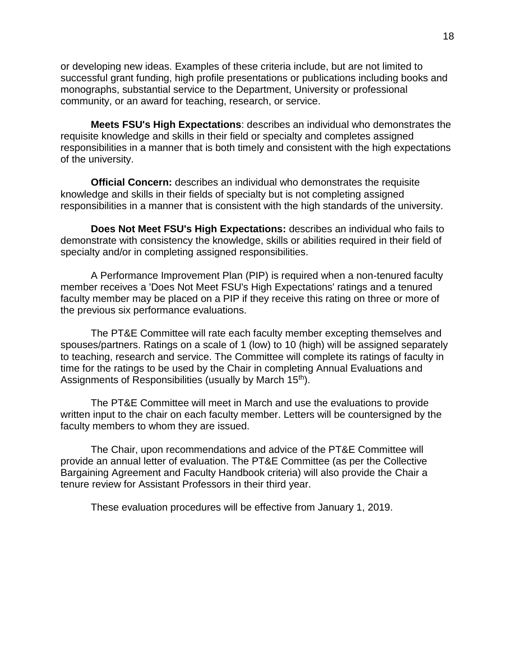or developing new ideas. Examples of these criteria include, but are not limited to successful grant funding, high profile presentations or publications including books and monographs, substantial service to the Department, University or professional community, or an award for teaching, research, or service.

**Meets FSU's High Expectations**: describes an individual who demonstrates the requisite knowledge and skills in their field or specialty and completes assigned responsibilities in a manner that is both timely and consistent with the high expectations of the university.

**Official Concern:** describes an individual who demonstrates the requisite knowledge and skills in their fields of specialty but is not completing assigned responsibilities in a manner that is consistent with the high standards of the university.

**Does Not Meet FSU's High Expectations:** describes an individual who fails to demonstrate with consistency the knowledge, skills or abilities required in their field of specialty and/or in completing assigned responsibilities.

A Performance Improvement Plan (PIP) is required when a non-tenured faculty member receives a 'Does Not Meet FSU's High Expectations' ratings and a tenured faculty member may be placed on a PIP if they receive this rating on three or more of the previous six performance evaluations.

The PT&E Committee will rate each faculty member excepting themselves and spouses/partners. Ratings on a scale of 1 (low) to 10 (high) will be assigned separately to teaching, research and service. The Committee will complete its ratings of faculty in time for the ratings to be used by the Chair in completing Annual Evaluations and Assignments of Responsibilities (usually by March 15<sup>th</sup>).

The PT&E Committee will meet in March and use the evaluations to provide written input to the chair on each faculty member. Letters will be countersigned by the faculty members to whom they are issued.

The Chair, upon recommendations and advice of the PT&E Committee will provide an annual letter of evaluation. The PT&E Committee (as per the Collective Bargaining Agreement and Faculty Handbook criteria) will also provide the Chair a tenure review for Assistant Professors in their third year.

These evaluation procedures will be effective from January 1, 2019.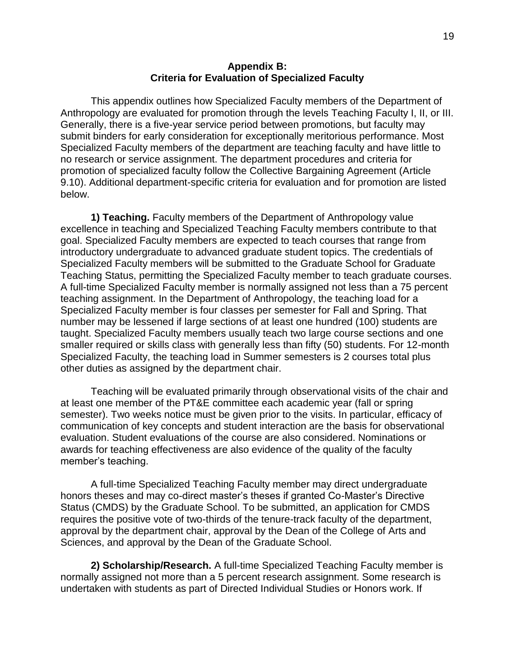#### **Appendix B: Criteria for Evaluation of Specialized Faculty**

<span id="page-18-0"></span>This appendix outlines how Specialized Faculty members of the Department of Anthropology are evaluated for promotion through the levels Teaching Faculty I, II, or III. Generally, there is a five-year service period between promotions, but faculty may submit binders for early consideration for exceptionally meritorious performance. Most Specialized Faculty members of the department are teaching faculty and have little to no research or service assignment. The department procedures and criteria for promotion of specialized faculty follow the Collective Bargaining Agreement (Article 9.10). Additional department-specific criteria for evaluation and for promotion are listed below.

**1) Teaching.** Faculty members of the Department of Anthropology value excellence in teaching and Specialized Teaching Faculty members contribute to that goal. Specialized Faculty members are expected to teach courses that range from introductory undergraduate to advanced graduate student topics. The credentials of Specialized Faculty members will be submitted to the Graduate School for Graduate Teaching Status, permitting the Specialized Faculty member to teach graduate courses. A full-time Specialized Faculty member is normally assigned not less than a 75 percent teaching assignment. In the Department of Anthropology, the teaching load for a Specialized Faculty member is four classes per semester for Fall and Spring. That number may be lessened if large sections of at least one hundred (100) students are taught. Specialized Faculty members usually teach two large course sections and one smaller required or skills class with generally less than fifty (50) students. For 12-month Specialized Faculty, the teaching load in Summer semesters is 2 courses total plus other duties as assigned by the department chair.

Teaching will be evaluated primarily through observational visits of the chair and at least one member of the PT&E committee each academic year (fall or spring semester). Two weeks notice must be given prior to the visits. In particular, efficacy of communication of key concepts and student interaction are the basis for observational evaluation. Student evaluations of the course are also considered. Nominations or awards for teaching effectiveness are also evidence of the quality of the faculty member's teaching.

A full-time Specialized Teaching Faculty member may direct undergraduate honors theses and may co-direct master's theses if granted Co-Master's Directive Status (CMDS) by the Graduate School. To be submitted, an application for CMDS requires the positive vote of two-thirds of the tenure-track faculty of the department, approval by the department chair, approval by the Dean of the College of Arts and Sciences, and approval by the Dean of the Graduate School.

**2) Scholarship/Research.** A full-time Specialized Teaching Faculty member is normally assigned not more than a 5 percent research assignment. Some research is undertaken with students as part of Directed Individual Studies or Honors work. If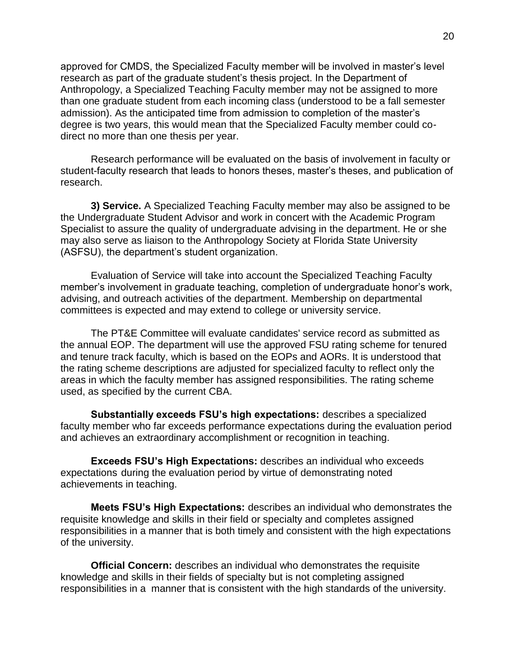approved for CMDS, the Specialized Faculty member will be involved in master's level research as part of the graduate student's thesis project. In the Department of Anthropology, a Specialized Teaching Faculty member may not be assigned to more than one graduate student from each incoming class (understood to be a fall semester admission). As the anticipated time from admission to completion of the master's degree is two years, this would mean that the Specialized Faculty member could codirect no more than one thesis per year.

Research performance will be evaluated on the basis of involvement in faculty or student-faculty research that leads to honors theses, master's theses, and publication of research.

**3) Service.** A Specialized Teaching Faculty member may also be assigned to be the Undergraduate Student Advisor and work in concert with the Academic Program Specialist to assure the quality of undergraduate advising in the department. He or she may also serve as liaison to the Anthropology Society at Florida State University (ASFSU), the department's student organization.

Evaluation of Service will take into account the Specialized Teaching Faculty member's involvement in graduate teaching, completion of undergraduate honor's work, advising, and outreach activities of the department. Membership on departmental committees is expected and may extend to college or university service.

The PT&E Committee will evaluate candidates' service record as submitted as the annual EOP. The department will use the approved FSU rating scheme for tenured and tenure track faculty, which is based on the EOPs and AORs. It is understood that the rating scheme descriptions are adjusted for specialized faculty to reflect only the areas in which the faculty member has assigned responsibilities. The rating scheme used, as specified by the current CBA.

**Substantially exceeds FSU's high expectations:** describes a specialized faculty member who far exceeds performance expectations during the evaluation period and achieves an extraordinary accomplishment or recognition in teaching.

**Exceeds FSU's High Expectations:** describes an individual who exceeds expectations during the evaluation period by virtue of demonstrating noted achievements in teaching.

**Meets FSU's High Expectations:** describes an individual who demonstrates the requisite knowledge and skills in their field or specialty and completes assigned responsibilities in a manner that is both timely and consistent with the high expectations of the university.

**Official Concern:** describes an individual who demonstrates the requisite knowledge and skills in their fields of specialty but is not completing assigned responsibilities in a manner that is consistent with the high standards of the university.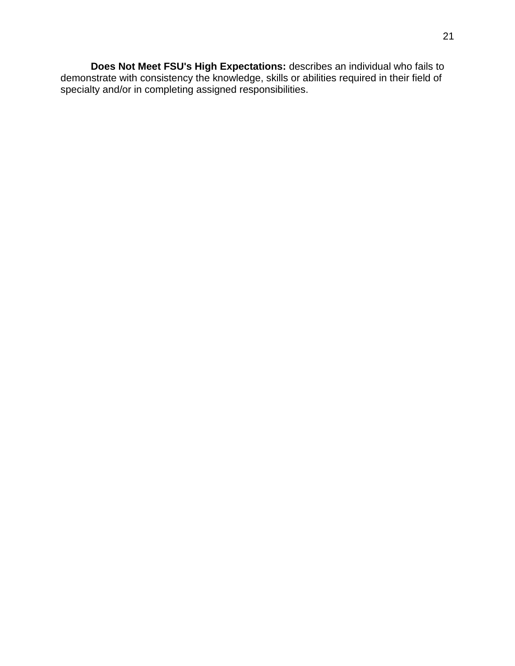**Does Not Meet FSU's High Expectations:** describes an individual who fails to demonstrate with consistency the knowledge, skills or abilities required in their field of specialty and/or in completing assigned responsibilities.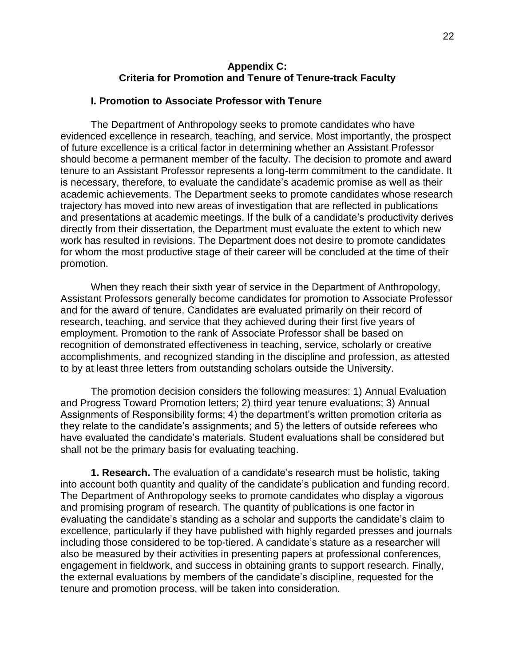#### **Appendix C: Criteria for Promotion and Tenure of Tenure-track Faculty**

#### <span id="page-21-1"></span><span id="page-21-0"></span>**I. Promotion to Associate Professor with Tenure**

The Department of Anthropology seeks to promote candidates who have evidenced excellence in research, teaching, and service. Most importantly, the prospect of future excellence is a critical factor in determining whether an Assistant Professor should become a permanent member of the faculty. The decision to promote and award tenure to an Assistant Professor represents a long-term commitment to the candidate. It is necessary, therefore, to evaluate the candidate's academic promise as well as their academic achievements. The Department seeks to promote candidates whose research trajectory has moved into new areas of investigation that are reflected in publications and presentations at academic meetings. If the bulk of a candidate's productivity derives directly from their dissertation, the Department must evaluate the extent to which new work has resulted in revisions. The Department does not desire to promote candidates for whom the most productive stage of their career will be concluded at the time of their promotion.

When they reach their sixth year of service in the Department of Anthropology, Assistant Professors generally become candidates for promotion to Associate Professor and for the award of tenure. Candidates are evaluated primarily on their record of research, teaching, and service that they achieved during their first five years of employment. Promotion to the rank of Associate Professor shall be based on recognition of demonstrated effectiveness in teaching, service, scholarly or creative accomplishments, and recognized standing in the discipline and profession, as attested to by at least three letters from outstanding scholars outside the University.

The promotion decision considers the following measures: 1) Annual Evaluation and Progress Toward Promotion letters; 2) third year tenure evaluations; 3) Annual Assignments of Responsibility forms; 4) the department's written promotion criteria as they relate to the candidate's assignments; and 5) the letters of outside referees who have evaluated the candidate's materials. Student evaluations shall be considered but shall not be the primary basis for evaluating teaching.

**1. Research.** The evaluation of a candidate's research must be holistic, taking into account both quantity and quality of the candidate's publication and funding record. The Department of Anthropology seeks to promote candidates who display a vigorous and promising program of research. The quantity of publications is one factor in evaluating the candidate's standing as a scholar and supports the candidate's claim to excellence, particularly if they have published with highly regarded presses and journals including those considered to be top-tiered. A candidate's stature as a researcher will also be measured by their activities in presenting papers at professional conferences, engagement in fieldwork, and success in obtaining grants to support research. Finally, the external evaluations by members of the candidate's discipline, requested for the tenure and promotion process, will be taken into consideration.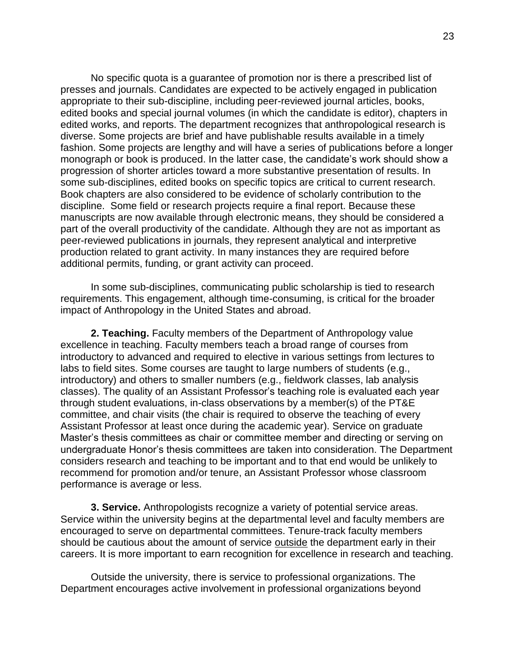No specific quota is a guarantee of promotion nor is there a prescribed list of presses and journals. Candidates are expected to be actively engaged in publication appropriate to their sub-discipline, including peer-reviewed journal articles, books, edited books and special journal volumes (in which the candidate is editor), chapters in edited works, and reports. The department recognizes that anthropological research is diverse. Some projects are brief and have publishable results available in a timely fashion. Some projects are lengthy and will have a series of publications before a longer monograph or book is produced. In the latter case, the candidate's work should show a progression of shorter articles toward a more substantive presentation of results. In some sub-disciplines, edited books on specific topics are critical to current research. Book chapters are also considered to be evidence of scholarly contribution to the discipline. Some field or research projects require a final report. Because these manuscripts are now available through electronic means, they should be considered a part of the overall productivity of the candidate. Although they are not as important as peer-reviewed publications in journals, they represent analytical and interpretive production related to grant activity. In many instances they are required before additional permits, funding, or grant activity can proceed.

In some sub-disciplines, communicating public scholarship is tied to research requirements. This engagement, although time-consuming, is critical for the broader impact of Anthropology in the United States and abroad.

**2. Teaching.** Faculty members of the Department of Anthropology value excellence in teaching. Faculty members teach a broad range of courses from introductory to advanced and required to elective in various settings from lectures to labs to field sites. Some courses are taught to large numbers of students (e.g., introductory) and others to smaller numbers (e.g., fieldwork classes, lab analysis classes). The quality of an Assistant Professor's teaching role is evaluated each year through student evaluations, in-class observations by a member(s) of the PT&E committee, and chair visits (the chair is required to observe the teaching of every Assistant Professor at least once during the academic year). Service on graduate Master's thesis committees as chair or committee member and directing or serving on undergraduate Honor's thesis committees are taken into consideration. The Department considers research and teaching to be important and to that end would be unlikely to recommend for promotion and/or tenure, an Assistant Professor whose classroom performance is average or less.

**3. Service.** Anthropologists recognize a variety of potential service areas. Service within the university begins at the departmental level and faculty members are encouraged to serve on departmental committees. Tenure-track faculty members should be cautious about the amount of service outside the department early in their careers. It is more important to earn recognition for excellence in research and teaching.

Outside the university, there is service to professional organizations. The Department encourages active involvement in professional organizations beyond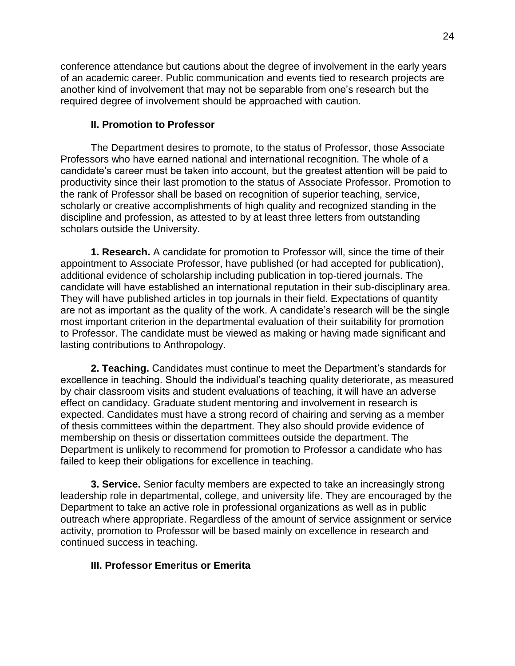conference attendance but cautions about the degree of involvement in the early years of an academic career. Public communication and events tied to research projects are another kind of involvement that may not be separable from one's research but the required degree of involvement should be approached with caution.

### <span id="page-23-0"></span>**II. Promotion to Professor**

The Department desires to promote, to the status of Professor, those Associate Professors who have earned national and international recognition. The whole of a candidate's career must be taken into account, but the greatest attention will be paid to productivity since their last promotion to the status of Associate Professor. Promotion to the rank of Professor shall be based on recognition of superior teaching, service, scholarly or creative accomplishments of high quality and recognized standing in the discipline and profession, as attested to by at least three letters from outstanding scholars outside the University.

**1. Research.** A candidate for promotion to Professor will, since the time of their appointment to Associate Professor, have published (or had accepted for publication), additional evidence of scholarship including publication in top-tiered journals. The candidate will have established an international reputation in their sub-disciplinary area. They will have published articles in top journals in their field. Expectations of quantity are not as important as the quality of the work. A candidate's research will be the single most important criterion in the departmental evaluation of their suitability for promotion to Professor. The candidate must be viewed as making or having made significant and lasting contributions to Anthropology.

**2. Teaching.** Candidates must continue to meet the Department's standards for excellence in teaching. Should the individual's teaching quality deteriorate, as measured by chair classroom visits and student evaluations of teaching, it will have an adverse effect on candidacy. Graduate student mentoring and involvement in research is expected. Candidates must have a strong record of chairing and serving as a member of thesis committees within the department. They also should provide evidence of membership on thesis or dissertation committees outside the department. The Department is unlikely to recommend for promotion to Professor a candidate who has failed to keep their obligations for excellence in teaching.

**3. Service.** Senior faculty members are expected to take an increasingly strong leadership role in departmental, college, and university life. They are encouraged by the Department to take an active role in professional organizations as well as in public outreach where appropriate. Regardless of the amount of service assignment or service activity, promotion to Professor will be based mainly on excellence in research and continued success in teaching.

### **III. Professor Emeritus or Emerita**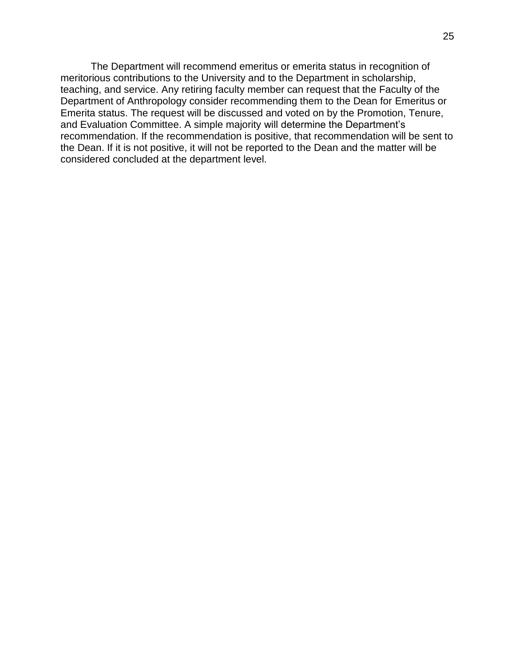The Department will recommend emeritus or emerita status in recognition of meritorious contributions to the University and to the Department in scholarship, teaching, and service. Any retiring faculty member can request that the Faculty of the Department of Anthropology consider recommending them to the Dean for Emeritus or Emerita status. The request will be discussed and voted on by the Promotion, Tenure, and Evaluation Committee. A simple majority will determine the Department's recommendation. If the recommendation is positive, that recommendation will be sent to the Dean. If it is not positive, it will not be reported to the Dean and the matter will be considered concluded at the department level.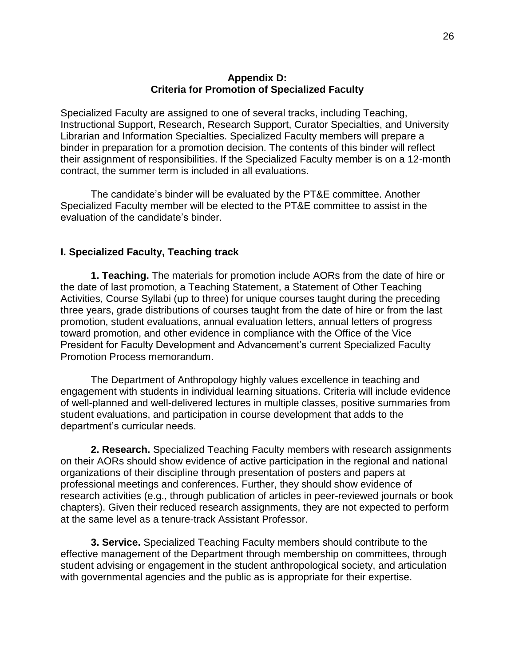#### **Appendix D: Criteria for Promotion of Specialized Faculty**

<span id="page-25-0"></span>Specialized Faculty are assigned to one of several tracks, including Teaching, Instructional Support, Research, Research Support, Curator Specialties, and University Librarian and Information Specialties. Specialized Faculty members will prepare a binder in preparation for a promotion decision. The contents of this binder will reflect their assignment of responsibilities. If the Specialized Faculty member is on a 12-month contract, the summer term is included in all evaluations.

The candidate's binder will be evaluated by the PT&E committee. Another Specialized Faculty member will be elected to the PT&E committee to assist in the evaluation of the candidate's binder.

#### <span id="page-25-1"></span>**I. Specialized Faculty, Teaching track**

**1. Teaching.** The materials for promotion include AORs from the date of hire or the date of last promotion, a Teaching Statement, a Statement of Other Teaching Activities, Course Syllabi (up to three) for unique courses taught during the preceding three years, grade distributions of courses taught from the date of hire or from the last promotion, student evaluations, annual evaluation letters, annual letters of progress toward promotion, and other evidence in compliance with the Office of the Vice President for Faculty Development and Advancement's current Specialized Faculty Promotion Process memorandum.

The Department of Anthropology highly values excellence in teaching and engagement with students in individual learning situations. Criteria will include evidence of well-planned and well-delivered lectures in multiple classes, positive summaries from student evaluations, and participation in course development that adds to the department's curricular needs.

**2. Research.** Specialized Teaching Faculty members with research assignments on their AORs should show evidence of active participation in the regional and national organizations of their discipline through presentation of posters and papers at professional meetings and conferences. Further, they should show evidence of research activities (e.g., through publication of articles in peer-reviewed journals or book chapters). Given their reduced research assignments, they are not expected to perform at the same level as a tenure-track Assistant Professor.

**3. Service.** Specialized Teaching Faculty members should contribute to the effective management of the Department through membership on committees, through student advising or engagement in the student anthropological society, and articulation with governmental agencies and the public as is appropriate for their expertise.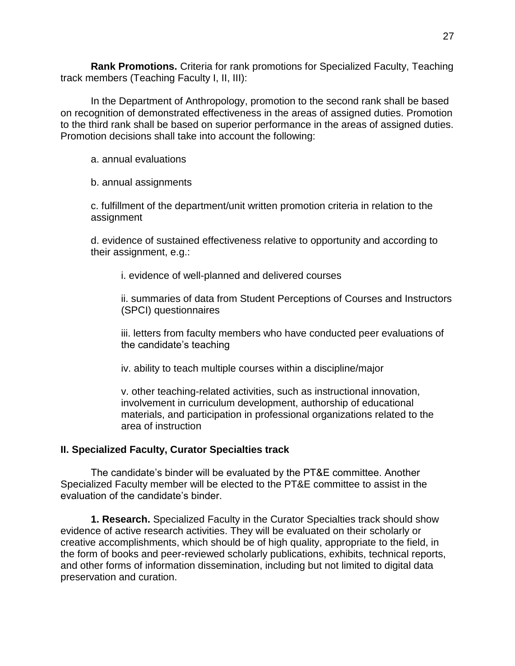**Rank Promotions.** Criteria for rank promotions for Specialized Faculty, Teaching track members (Teaching Faculty I, II, III):

In the Department of Anthropology, promotion to the second rank shall be based on recognition of demonstrated effectiveness in the areas of assigned duties. Promotion to the third rank shall be based on superior performance in the areas of assigned duties. Promotion decisions shall take into account the following:

a. annual evaluations

b. annual assignments

c. fulfillment of the department/unit written promotion criteria in relation to the assignment

d. evidence of sustained effectiveness relative to opportunity and according to their assignment, e.g.:

i. evidence of well-planned and delivered courses

ii. summaries of data from Student Perceptions of Courses and Instructors (SPCI) questionnaires

iii. letters from faculty members who have conducted peer evaluations of the candidate's teaching

iv. ability to teach multiple courses within a discipline/major

v. other teaching-related activities, such as instructional innovation, involvement in curriculum development, authorship of educational materials, and participation in professional organizations related to the area of instruction

### <span id="page-26-0"></span>**II. Specialized Faculty, Curator Specialties track**

The candidate's binder will be evaluated by the PT&E committee. Another Specialized Faculty member will be elected to the PT&E committee to assist in the evaluation of the candidate's binder.

**1. Research.** Specialized Faculty in the Curator Specialties track should show evidence of active research activities. They will be evaluated on their scholarly or creative accomplishments, which should be of high quality, appropriate to the field, in the form of books and peer-reviewed scholarly publications, exhibits, technical reports, and other forms of information dissemination, including but not limited to digital data preservation and curation.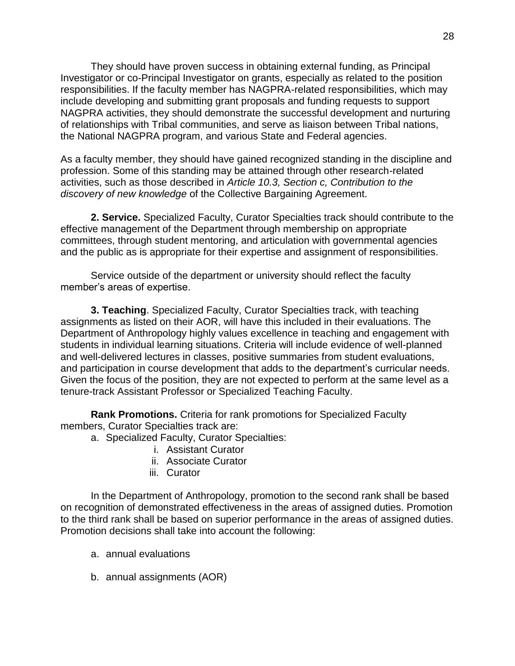They should have proven success in obtaining external funding, as Principal Investigator or co-Principal Investigator on grants, especially as related to the position responsibilities. If the faculty member has NAGPRA-related responsibilities, which may include developing and submitting grant proposals and funding requests to support NAGPRA activities, they should demonstrate the successful development and nurturing of relationships with Tribal communities, and serve as liaison between Tribal nations, the National NAGPRA program, and various State and Federal agencies.

As a faculty member, they should have gained recognized standing in the discipline and profession. Some of this standing may be attained through other research-related activities, such as those described in *Article 10.3, Section c, Contribution to the discovery of new knowledge* of the Collective Bargaining Agreement.

**2. Service.** Specialized Faculty, Curator Specialties track should contribute to the effective management of the Department through membership on appropriate committees, through student mentoring, and articulation with governmental agencies and the public as is appropriate for their expertise and assignment of responsibilities.

Service outside of the department or university should reflect the faculty member's areas of expertise.

**3. Teaching**. Specialized Faculty, Curator Specialties track, with teaching assignments as listed on their AOR, will have this included in their evaluations. The Department of Anthropology highly values excellence in teaching and engagement with students in individual learning situations. Criteria will include evidence of well-planned and well-delivered lectures in classes, positive summaries from student evaluations, and participation in course development that adds to the department's curricular needs. Given the focus of the position, they are not expected to perform at the same level as a tenure-track Assistant Professor or Specialized Teaching Faculty.

**Rank Promotions.** Criteria for rank promotions for Specialized Faculty members, Curator Specialties track are:

- a. Specialized Faculty, Curator Specialties:
	- i. Assistant Curator
	- ii. Associate Curator
	- iii. Curator

In the Department of Anthropology, promotion to the second rank shall be based on recognition of demonstrated effectiveness in the areas of assigned duties. Promotion to the third rank shall be based on superior performance in the areas of assigned duties. Promotion decisions shall take into account the following:

- a. annual evaluations
- b. annual assignments (AOR)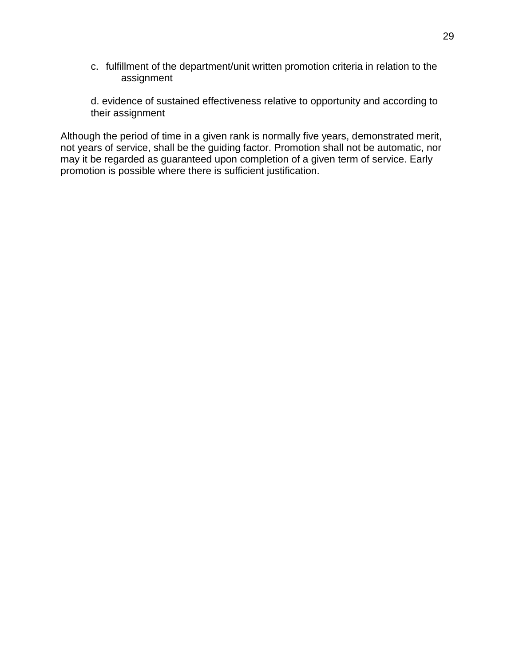- c. fulfillment of the department/unit written promotion criteria in relation to the assignment
- d. evidence of sustained effectiveness relative to opportunity and according to their assignment

Although the period of time in a given rank is normally five years, demonstrated merit, not years of service, shall be the guiding factor. Promotion shall not be automatic, nor may it be regarded as guaranteed upon completion of a given term of service. Early promotion is possible where there is sufficient justification.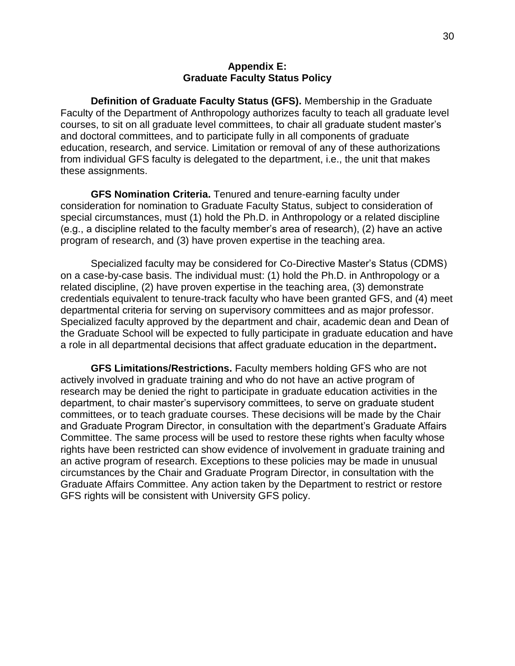#### **Appendix E: Graduate Faculty Status Policy**

<span id="page-29-0"></span>**Definition of Graduate Faculty Status (GFS).** Membership in the Graduate Faculty of the Department of Anthropology authorizes faculty to teach all graduate level courses, to sit on all graduate level committees, to chair all graduate student master's and doctoral committees, and to participate fully in all components of graduate education, research, and service. Limitation or removal of any of these authorizations from individual GFS faculty is delegated to the department, i.e., the unit that makes these assignments.

**GFS Nomination Criteria.** Tenured and tenure-earning faculty under consideration for nomination to Graduate Faculty Status, subject to consideration of special circumstances, must (1) hold the Ph.D. in Anthropology or a related discipline (e.g., a discipline related to the faculty member's area of research), (2) have an active program of research, and (3) have proven expertise in the teaching area.

Specialized faculty may be considered for Co-Directive Master's Status (CDMS) on a case-by-case basis. The individual must: (1) hold the Ph.D. in Anthropology or a related discipline, (2) have proven expertise in the teaching area, (3) demonstrate credentials equivalent to tenure-track faculty who have been granted GFS, and (4) meet departmental criteria for serving on supervisory committees and as major professor. Specialized faculty approved by the department and chair, academic dean and Dean of the Graduate School will be expected to fully participate in graduate education and have a role in all departmental decisions that affect graduate education in the department**.** 

**GFS Limitations/Restrictions.** Faculty members holding GFS who are not actively involved in graduate training and who do not have an active program of research may be denied the right to participate in graduate education activities in the department, to chair master's supervisory committees, to serve on graduate student committees, or to teach graduate courses. These decisions will be made by the Chair and Graduate Program Director, in consultation with the department's Graduate Affairs Committee. The same process will be used to restore these rights when faculty whose rights have been restricted can show evidence of involvement in graduate training and an active program of research. Exceptions to these policies may be made in unusual circumstances by the Chair and Graduate Program Director, in consultation with the Graduate Affairs Committee. Any action taken by the Department to restrict or restore GFS rights will be consistent with University GFS policy.